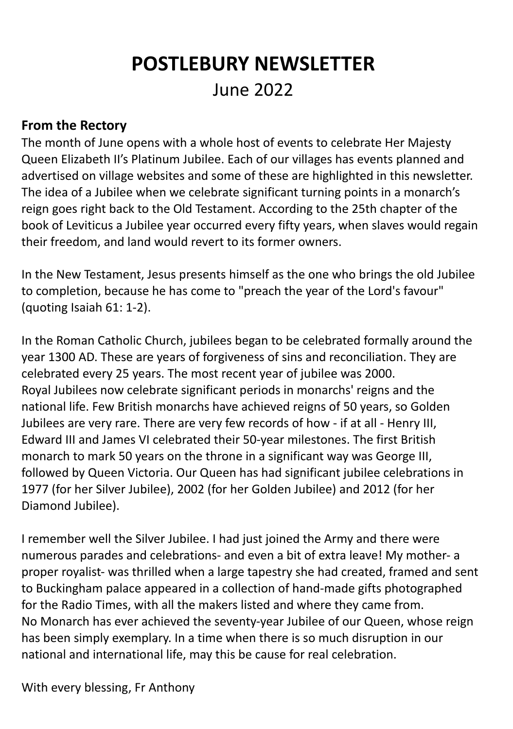# **POSTLEBURY NEWSLETTER** June 2022

### **From the Rectory**

The month of June opens with a whole host of events to celebrate Her Majesty Queen Elizabeth II's Platinum Jubilee. Each of our villages has events planned and advertised on village websites and some of these are highlighted in this newsletter. The idea of a Jubilee when we celebrate significant turning points in a monarch's reign goes right back to the Old Testament. According to the 25th chapter of the book of Leviticus a Jubilee year occurred every fifty years, when slaves would regain their freedom, and land would revert to its former owners.

In the New Testament, Jesus presents himself as the one who brings the old Jubilee to completion, because he has come to "preach the year of the Lord's favour" (quoting Isaiah 61: 1-2).

In the Roman Catholic Church, jubilees began to be celebrated formally around the year 1300 AD. These are years of forgiveness of sins and reconciliation. They are celebrated every 25 years. The most recent year of jubilee was 2000. Royal Jubilees now celebrate significant periods in monarchs' reigns and the national life. Few British monarchs have achieved reigns of 50 years, so Golden Jubilees are very rare. There are very few records of how - if at all - Henry III, Edward III and James VI celebrated their 50-year milestones. The first British monarch to mark 50 years on the throne in a significant way was George III, followed by Queen Victoria. Our Queen has had significant jubilee celebrations in 1977 (for her Silver Jubilee), 2002 (for her Golden Jubilee) and 2012 (for her Diamond Jubilee).

I remember well the Silver Jubilee. I had just joined the Army and there were numerous parades and celebrations- and even a bit of extra leave! My mother- a proper royalist- was thrilled when a large tapestry she had created, framed and sent to Buckingham palace appeared in a collection of hand-made gifts photographed for the Radio Times, with all the makers listed and where they came from. No Monarch has ever achieved the seventy-year Jubilee of our Queen, whose reign has been simply exemplary. In a time when there is so much disruption in our national and international life, may this be cause for real celebration.

With every blessing, Fr Anthony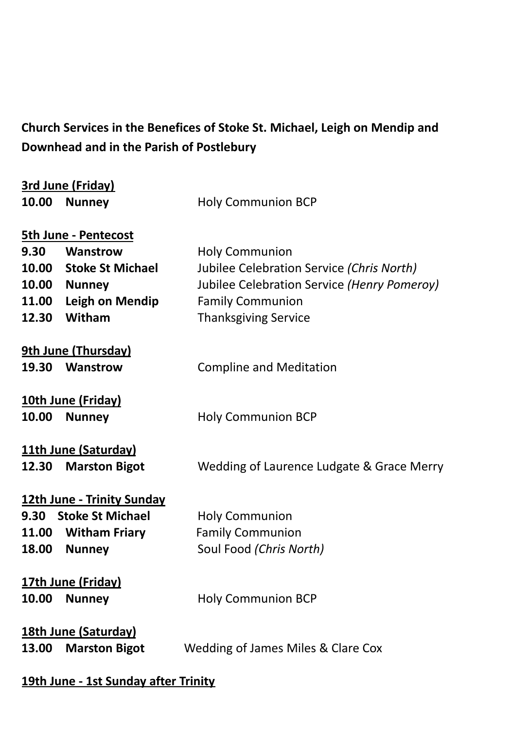# **Church Services in the Benefices of Stoke St. Michael, Leigh on Mendip and Downhead and in the Parish of Postlebury**

| 3rd June (Friday)                                                   |                         |                                             |  |  |
|---------------------------------------------------------------------|-------------------------|---------------------------------------------|--|--|
| 10.00                                                               | <b>Nunney</b>           | <b>Holy Communion BCP</b>                   |  |  |
|                                                                     |                         |                                             |  |  |
| <b>5th June - Pentecost</b>                                         |                         |                                             |  |  |
| 9.30                                                                | Wanstrow                | <b>Holy Communion</b>                       |  |  |
| 10.00                                                               | <b>Stoke St Michael</b> | Jubilee Celebration Service (Chris North)   |  |  |
|                                                                     | 10.00 Nunney            | Jubilee Celebration Service (Henry Pomeroy) |  |  |
| 11.00                                                               | <b>Leigh on Mendip</b>  | <b>Family Communion</b>                     |  |  |
| 12.30                                                               | Witham                  | <b>Thanksgiving Service</b>                 |  |  |
| <b>9th June (Thursday)</b>                                          |                         |                                             |  |  |
| 19.30                                                               | Wanstrow                | <b>Compline and Meditation</b>              |  |  |
|                                                                     |                         |                                             |  |  |
| 10th June (Friday)                                                  |                         |                                             |  |  |
| 10.00                                                               | <b>Nunney</b>           | <b>Holy Communion BCP</b>                   |  |  |
|                                                                     |                         |                                             |  |  |
|                                                                     | 11th June (Saturday)    |                                             |  |  |
| 12.30                                                               | <b>Marston Bigot</b>    | Wedding of Laurence Ludgate & Grace Merry   |  |  |
|                                                                     |                         |                                             |  |  |
| 12th June - Trinity Sunday                                          |                         |                                             |  |  |
|                                                                     | 9.30 Stoke St Michael   | <b>Holy Communion</b>                       |  |  |
|                                                                     | 11.00 Witham Friary     | <b>Family Communion</b>                     |  |  |
| 18.00                                                               | <b>Nunney</b>           | Soul Food (Chris North)                     |  |  |
|                                                                     | 17th June (Friday)      |                                             |  |  |
| 10.00                                                               | <b>Nunney</b>           | <b>Holy Communion BCP</b>                   |  |  |
|                                                                     |                         |                                             |  |  |
| 18th June (Saturday)                                                |                         |                                             |  |  |
| <b>Marston Bigot</b><br>Wedding of James Miles & Clare Cox<br>13.00 |                         |                                             |  |  |
|                                                                     |                         |                                             |  |  |
|                                                                     |                         |                                             |  |  |

**19th June - 1st Sunday after Trinity**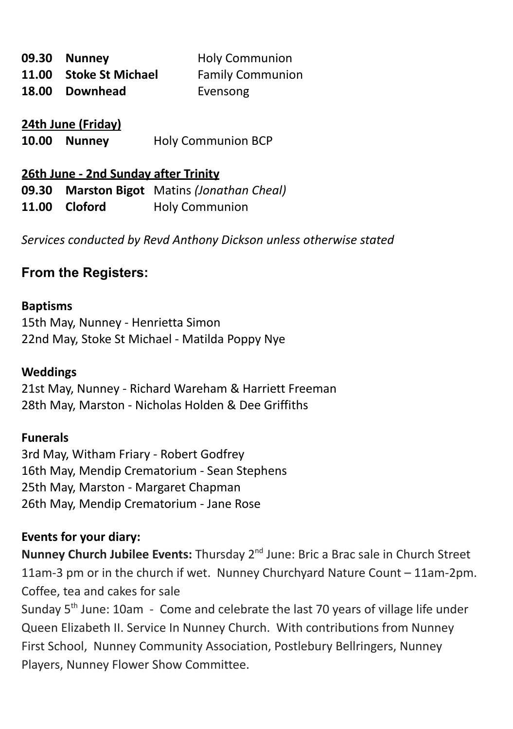| 09.30 Nunney           | <b>Holy Communion</b>   |
|------------------------|-------------------------|
| 11.00 Stoke St Michael | <b>Family Communion</b> |
| 18.00 Downhead         | Evensong                |

**24th June (Friday)**

**10.00 Nunney** Holy Communion BCP

# **26th June - 2nd Sunday after Trinity 09.30 Marston Bigot** Matins *(Jonathan Cheal)* **11.00 Cloford** Holy Communion

*Services conducted by Revd Anthony Dickson unless otherwise stated*

# **From the Registers:**

#### **Baptisms**

15th May, Nunney - Henrietta Simon 22nd May, Stoke St Michael - Matilda Poppy Nye

#### **Weddings**

21st May, Nunney - Richard Wareham & Harriett Freeman 28th May, Marston - Nicholas Holden & Dee Griffiths

#### **Funerals**

3rd May, Witham Friary - Robert Godfrey 16th May, Mendip Crematorium - Sean Stephens 25th May, Marston - Margaret Chapman 26th May, Mendip Crematorium - Jane Rose

### **Events for your diary:**

Nunney Church Jubilee Events: Thursday 2<sup>nd</sup> June: Bric a Brac sale in Church Street 11am-3 pm or in the church if wet. Nunney Churchyard Nature Count – 11am-2pm. Coffee, tea and cakes for sale

Sunday 5<sup>th</sup> June: 10am - Come and celebrate the last 70 years of village life under Queen Elizabeth II. Service In Nunney Church. With contributions from Nunney First School, Nunney Community Association, Postlebury Bellringers, Nunney Players, Nunney Flower Show Committee.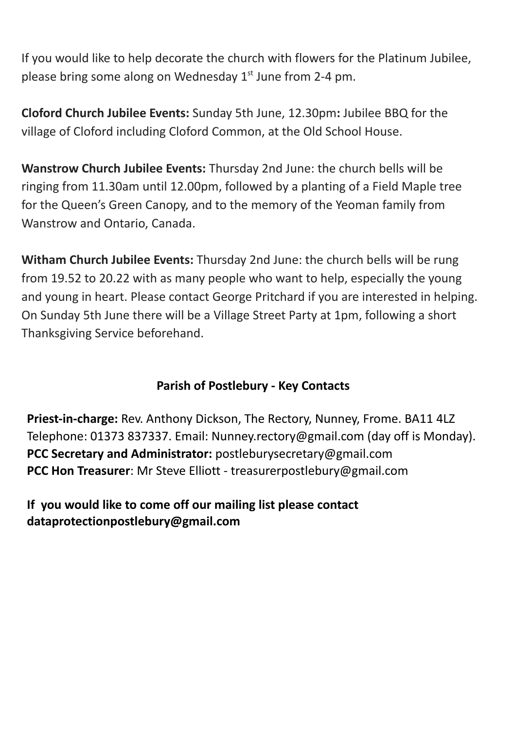If you would like to help decorate the church with flowers for the Platinum Jubilee, please bring some along on Wednesday 1<sup>st</sup> June from 2-4 pm.

**Cloford Church Jubilee Events:** Sunday 5th June, 12.30pm**:** Jubilee BBQ for the village of Cloford including Cloford Common, at the Old School House.

**Wanstrow Church Jubilee Events:** Thursday 2nd June: the church bells will be ringing from 11.30am until 12.00pm, followed by a planting of a Field Maple tree for the Queen's Green Canopy, and to the memory of the Yeoman family from Wanstrow and Ontario, Canada.

**Witham Church Jubilee Events:** Thursday 2nd June: the church bells will be rung from 19.52 to 20.22 with as many people who want to help, especially the young and young in heart. Please contact George Pritchard if you are interested in helping. On Sunday 5th June there will be a Village Street Party at 1pm, following a short Thanksgiving Service beforehand.

### **Parish of Postlebury - Key Contacts**

**Priest-in-charge:** Rev. Anthony Dickson, The Rectory, Nunney, Frome. BA11 4LZ Telephone: 01373 837337. Email: Nunney.rectory@gmail.com (day off is Monday). **PCC Secretary and Administrator:** postleburysecretary@gmail.com **PCC Hon Treasurer**: Mr Steve Elliott - treasurerpostlebury@gmail.com

**If you would like to come off our mailing list please contact dataprotectionpostlebury@gmail.com**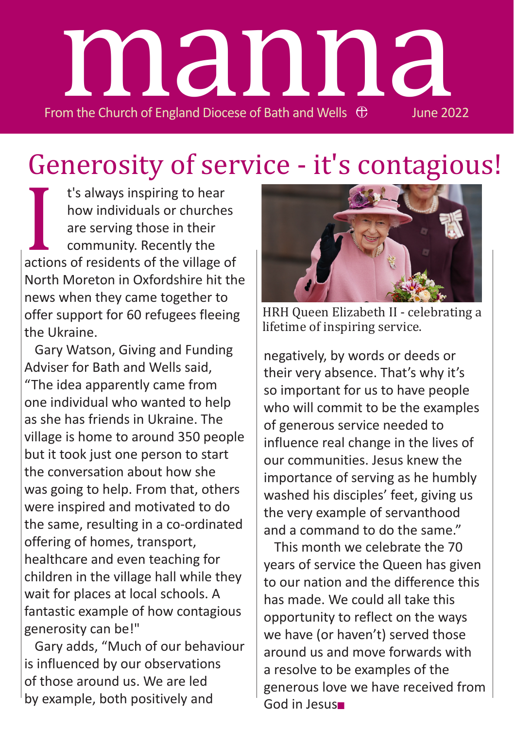

# Generosity of service - it's contagious!

I t's always inspiring to hear how individuals or churches are serving those in their community. Recently the actions of residents of the village of North Moreton in Oxfordshire hit the news when they came together to offer support for 60 refugees fleeing the Ukraine.

Gary Watson, Giving and Funding Adviser for Bath and Wells said, "The idea apparently came from one individual who wanted to help as she has friends in Ukraine. The village is home to around 350 people but it took just one person to start the conversation about how she was going to help. From that, others were inspired and motivated to do the same, resulting in a co-ordinated offering of homes, transport, healthcare and even teaching for children in the village hall while they wait for places at local schools. A fantastic example of how contagious generosity can be!"

Gary adds, "Much of our behaviour is influenced by our observations of those around us. We are led by example, both positively and



HRH Queen Elizabeth II - celebrating a lifetime of inspiring service.

negatively, by words or deeds or their very absence. That's why it's so important for us to have people who will commit to be the examples of generous service needed to influence real change in the lives of our communities. Jesus knew the importance of serving as he humbly washed his disciples' feet, giving us the very example of servanthood and a command to do the same."

This month we celebrate the 70 years of service the Queen has given to our nation and the difference this has made. We could all take this opportunity to reflect on the ways we have (or haven't) served those around us and move forwards with a resolve to be examples of the generous love we have received from God in Jesus■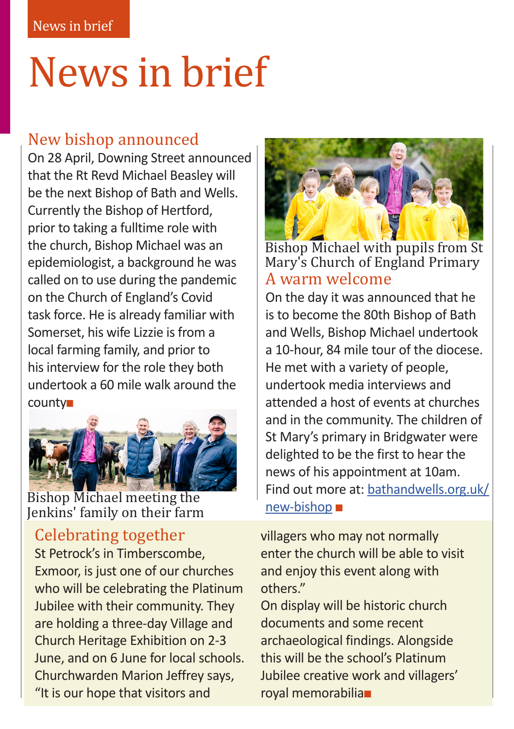# News in brief

# New bishop announced

On 28 April, Downing Street announced that the Rt Revd Michael Beasley will be the next Bishop of Bath and Wells. Currently the Bishop of Hertford, prior to taking a fulltime role with the church, Bishop Michael was an epidemiologist, a background he was called on to use during the pandemic on the Church of England's Covid task force. He is already familiar with Somerset, his wife Lizzie is from a local farming family, and prior to his interview for the role they both undertook a 60 mile walk around the county■



Bishop Michael meeting the Jenkins' family on their farm

# Celebrating together

St Petrock's in Timberscombe, Exmoor, is just one of our churches who will be celebrating the Platinum Jubilee with their community. They are holding a three-day Village and Church Heritage Exhibition on 2-3 June, and on 6 June for local schools. Churchwarden Marion Jeffrey says, "It is our hope that visitors and



A warm welcome Bishop Michael with pupils from St Mary's Church of England Primary

On the day it was announced that he is to become the 80th Bishop of Bath and Wells, Bishop Michael undertook a 10-hour, 84 mile tour of the diocese. He met with a variety of people, undertook media interviews and attended a host of events at churches and in the community. The children of St Mary's primary in Bridgwater were delighted to be the first to hear the news of his appointment at 10am. Find out more at: bathandwells.org.uk/ new-bishop ■

villagers who may not normally enter the church will be able to visit and enjoy this event along with others."

On display will be historic church documents and some recent archaeological findings. Alongside this will be the school's Platinum Jubilee creative work and villagers' royal memorabilia■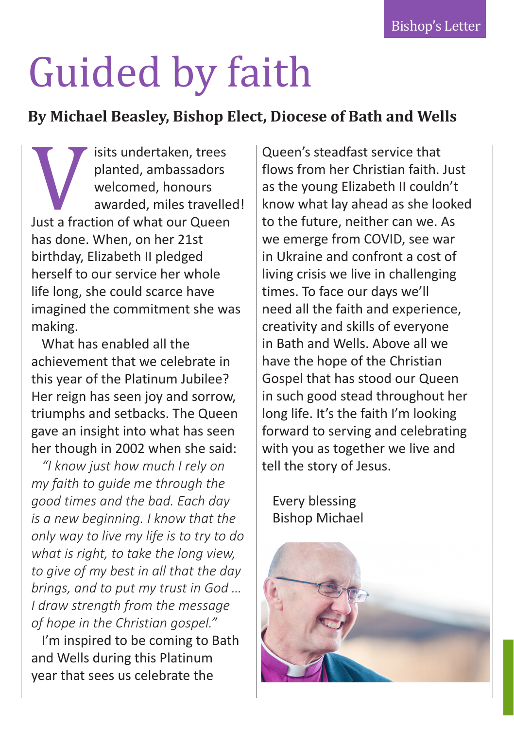# Guided by faith

# **By Michael Beasley, Bishop Elect, Diocese of Bath and Wells**

Visits undertaken, trees<br>planted, ambassadors<br>welcomed, honours<br>awarded, miles travelle<br>lust a fraction of what our Queen<br>has done. When, on her 21st planted, ambassadors welcomed, honours awarded, miles travelled! Just a fraction of what our Queen has done. When, on her 21st birthday, Elizabeth II pledged herself to our service her whole life long, she could scarce have imagined the commitment she was making.

What has enabled all the achievement that we celebrate in this year of the Platinum Jubilee? Her reign has seen joy and sorrow, triumphs and setbacks. The Queen gave an insight into what has seen her though in 2002 when she said:

*"I know just how much I rely on my faith to guide me through the good times and the bad. Each day is a new beginning. I know that the only way to live my life is to try to do what is right, to take the long view, to give of my best in all that the day brings, and to put my trust in God … I draw strength from the message of hope in the Christian gospel."* 

I'm inspired to be coming to Bath and Wells during this Platinum year that sees us celebrate the

Queen's steadfast service that flows from her Christian faith. Just as the young Elizabeth II couldn't know what lay ahead as she looked to the future, neither can we. As we emerge from COVID, see war in Ukraine and confront a cost of living crisis we live in challenging times. To face our days we'll need all the faith and experience, creativity and skills of everyone in Bath and Wells. Above all we have the hope of the Christian Gospel that has stood our Queen in such good stead throughout her long life. It's the faith I'm looking forward to serving and celebrating with you as together we live and tell the story of Jesus.

Every blessing Bishop Michael